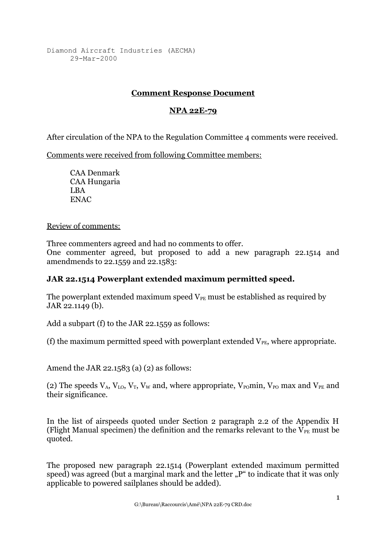Diamond Aircraft Industries (AECMA) 29-Mar-2000

## **Comment Response Document**

## **NPA 22E-79**

After circulation of the NPA to the Regulation Committee 4 comments were received.

Comments were received from following Committee members:

CAA Denmark CAA Hungaria LBA ENAC

## Review of comments:

Three commenters agreed and had no comments to offer. One commenter agreed, but proposed to add a new paragraph 22.1514 and amendmends to 22.1559 and 22.1583:

## **JAR 22.1514 Powerplant extended maximum permitted speed.**

The powerplant extended maximum speed  $V_{PE}$  must be established as required by JAR 22.1149 (b).

Add a subpart (f) to the JAR 22.1559 as follows:

(f) the maximum permitted speed with powerplant extended  $V_{PE}$ , where appropriate.

Amend the JAR 22.1583 (a) (2) as follows:

(2) The speeds  $V_A$ ,  $V_{LO}$ ,  $V_T$ ,  $V_W$  and, where appropriate,  $V_{PO}$  min,  $V_{PO}$  max and  $V_{PE}$  and their significance.

In the list of airspeeds quoted under Section 2 paragraph 2.2 of the Appendix H (Flight Manual specimen) the definition and the remarks relevant to the  $V_{PE}$  must be quoted.

The proposed new paragraph 22.1514 (Powerplant extended maximum permitted speed) was agreed (but a marginal mark and the letter "P" to indicate that it was only applicable to powered sailplanes should be added).